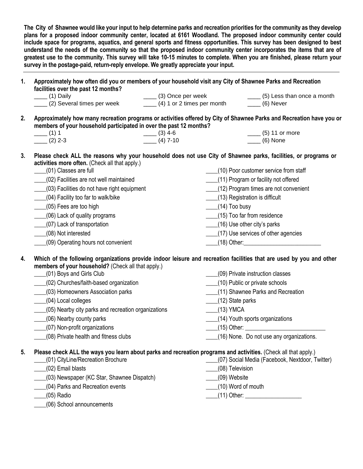**The City of Shawnee would like your input to help determine parks and recreation priorities for the community as they develop plans for a proposed indoor community center, located at 6161 Woodland. The proposed indoor community center could include space for programs, aquatics, and general sports and fitness opportunities. This survey has been designed to best understand the needs of the community so that the proposed indoor community center incorporates the items that are of greatest use to the community. This survey will take 10-15 minutes to complete. When you are finished, please return your survey in the postage-paid, return-reply envelope. We greatly appreciate your input.** 

| 1. | Approximately how often did you or members of your household visit any City of Shawnee Parks and Recreation<br>facilities over the past 12 months?                                                                                                                                                                                                                                                                                                                        |                                          |                                                       |                                                                                                                                                                                                         |  |  |  |  |
|----|---------------------------------------------------------------------------------------------------------------------------------------------------------------------------------------------------------------------------------------------------------------------------------------------------------------------------------------------------------------------------------------------------------------------------------------------------------------------------|------------------------------------------|-------------------------------------------------------|---------------------------------------------------------------------------------------------------------------------------------------------------------------------------------------------------------|--|--|--|--|
|    | $\frac{1}{\sqrt{1}}$ (1) Daily                                                                                                                                                                                                                                                                                                                                                                                                                                            | ____ (3) Once per week                   |                                                       | ____ (5) Less than once a month                                                                                                                                                                         |  |  |  |  |
|    | (2) Several times per week                                                                                                                                                                                                                                                                                                                                                                                                                                                | $\frac{1}{1}$ (4) 1 or 2 times per month |                                                       | $\frac{1}{1}$ (6) Never                                                                                                                                                                                 |  |  |  |  |
| 2. | Approximately how many recreation programs or activities offered by City of Shawnee Parks and Recreation have you or<br>members of your household participated in over the past 12 months?                                                                                                                                                                                                                                                                                |                                          |                                                       |                                                                                                                                                                                                         |  |  |  |  |
|    | $-$ (1) 1                                                                                                                                                                                                                                                                                                                                                                                                                                                                 | $\frac{1}{2}$ (3) 4-6                    |                                                       | $\frac{1}{2}$ (5) 11 or more                                                                                                                                                                            |  |  |  |  |
|    | $-$ (2) 2-3                                                                                                                                                                                                                                                                                                                                                                                                                                                               | $-$ (4) 7-10                             |                                                       | $\frac{1}{1}$ (6) None                                                                                                                                                                                  |  |  |  |  |
| 3. | Please check ALL the reasons why your household does not use City of Shawnee parks, facilities, or programs or                                                                                                                                                                                                                                                                                                                                                            |                                          |                                                       |                                                                                                                                                                                                         |  |  |  |  |
|    | activities more often. (Check all that apply.)                                                                                                                                                                                                                                                                                                                                                                                                                            |                                          |                                                       |                                                                                                                                                                                                         |  |  |  |  |
|    | (01) Classes are full                                                                                                                                                                                                                                                                                                                                                                                                                                                     |                                          |                                                       | ____(10) Poor customer service from staff                                                                                                                                                               |  |  |  |  |
|    | ___(02) Facilities are not well maintained                                                                                                                                                                                                                                                                                                                                                                                                                                |                                          |                                                       | ___(11) Program or facility not offered                                                                                                                                                                 |  |  |  |  |
|    | (03) Facilities do not have right equipment                                                                                                                                                                                                                                                                                                                                                                                                                               |                                          |                                                       | (12) Program times are not convenient                                                                                                                                                                   |  |  |  |  |
|    | ___(04) Facility too far to walk/bike                                                                                                                                                                                                                                                                                                                                                                                                                                     |                                          |                                                       | (13) Registration is difficult                                                                                                                                                                          |  |  |  |  |
|    | (05) Fees are too high                                                                                                                                                                                                                                                                                                                                                                                                                                                    |                                          | $(14)$ Too busy                                       |                                                                                                                                                                                                         |  |  |  |  |
|    | ____(06) Lack of quality programs                                                                                                                                                                                                                                                                                                                                                                                                                                         |                                          | (15) Too far from residence                           |                                                                                                                                                                                                         |  |  |  |  |
|    | (07) Lack of transportation                                                                                                                                                                                                                                                                                                                                                                                                                                               |                                          | (16) Use other city's parks                           |                                                                                                                                                                                                         |  |  |  |  |
|    | ____(08) Not interested                                                                                                                                                                                                                                                                                                                                                                                                                                                   |                                          |                                                       | (17) Use services of other agencies                                                                                                                                                                     |  |  |  |  |
|    | (09) Operating hours not convenient                                                                                                                                                                                                                                                                                                                                                                                                                                       |                                          |                                                       | (18) Other:________________________________                                                                                                                                                             |  |  |  |  |
| 4. | Which of the following organizations provide indoor leisure and recreation facilities that are used by you and other<br>members of your household? (Check all that apply.)<br>(01) Boys and Girls Club<br>(02) Churches/faith-based organization<br>(03) Homeowners Association parks<br>(04) Local colleges<br>(05) Nearby city parks and recreation organizations<br>(06) Nearby county parks<br>(07) Non-profit organizations<br>(08) Private health and fitness clubs |                                          | (12) State parks<br>$(13)$ YMCA                       | (09) Private instruction classes<br>(10) Public or private schools<br>(11) Shawnee Parks and Recreation<br>(14) Youth sports organizations<br>$(15)$ Other:<br>(16) None. Do not use any organizations. |  |  |  |  |
| 5. | Please check ALL the ways you learn about parks and recreation programs and activities. (Check all that apply.)<br>(01) CityLine/Recreation Brochure<br>(02) Email blasts<br>(03) Newspaper (KC Star, Shawnee Dispatch)<br>(04) Parks and Recreation events<br>$(05)$ Radio                                                                                                                                                                                               |                                          | (08) Television<br>(09) Website<br>(10) Word of mouth | (07) Social Media (Facebook, Nextdoor, Twitter)<br>_(11) Other: ______________________                                                                                                                  |  |  |  |  |
|    | (06) School announcements                                                                                                                                                                                                                                                                                                                                                                                                                                                 |                                          |                                                       |                                                                                                                                                                                                         |  |  |  |  |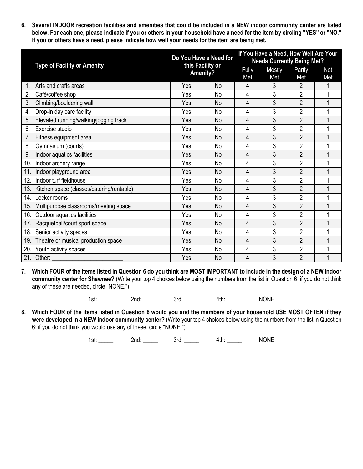**6. Several INDOOR recreation facilities and amenities that could be included in a NEW indoor community center are listed below. For each one, please indicate if you or others in your household have a need for the item by circling "YES" or "NO." If you or others have a need, please indicate how well your needs for the item are being met.**

|     | <b>Type of Facility or Amenity</b>        | Do You Have a Need for<br>this Facility or<br><b>Amenity?</b> |           | If You Have a Need, How Well Are Your<br><b>Needs Currently Being Met?</b> |               |                |            |
|-----|-------------------------------------------|---------------------------------------------------------------|-----------|----------------------------------------------------------------------------|---------------|----------------|------------|
|     |                                           |                                                               |           | Fully<br>Met                                                               | Mostly<br>Met | Partly<br>Met  | Not<br>Met |
|     | Arts and crafts areas                     | Yes                                                           | No        | 4                                                                          | 3             | $\overline{2}$ |            |
| 2.  | Café/coffee shop                          | Yes                                                           | <b>No</b> | 4                                                                          | 3             | $\overline{2}$ |            |
| 3.  | Climbing/bouldering wall                  | Yes                                                           | No        | 4                                                                          | 3             | $\overline{2}$ |            |
| 4.  | Drop-in day care facility                 | Yes                                                           | No        | 4                                                                          | 3             | $\overline{2}$ |            |
| 5.  | Elevated running/walking/jogging track    | Yes                                                           | <b>No</b> | 4                                                                          | 3             | $\overline{2}$ |            |
| 6.  | Exercise studio                           | Yes                                                           | <b>No</b> | 4                                                                          | 3             | $\overline{2}$ |            |
| 7.  | Fitness equipment area                    | Yes                                                           | No        | 4                                                                          | 3             | $\overline{2}$ |            |
| 8.  | Gymnasium (courts)                        | Yes                                                           | <b>No</b> | 4                                                                          | 3             | $\overline{2}$ | 1          |
| 9.  | Indoor aquatics facilities                | Yes                                                           | <b>No</b> | 4                                                                          | 3             | $\overline{2}$ |            |
| 10. | Indoor archery range                      | Yes                                                           | No        | 4                                                                          | 3             | $\overline{2}$ |            |
| 11. | Indoor playground area                    | Yes                                                           | <b>No</b> | 4                                                                          | 3             | $\overline{2}$ |            |
| 12. | Indoor turf fieldhouse                    | Yes                                                           | <b>No</b> | 4                                                                          | 3             | $\overline{2}$ |            |
| 13. | Kitchen space (classes/catering/rentable) | Yes                                                           | No        | 4                                                                          | 3             | $\overline{2}$ |            |
| 14. | Locker rooms                              | Yes                                                           | <b>No</b> | 4                                                                          | 3             | $\overline{2}$ |            |
| 15. | Multipurpose classrooms/meeting space     | Yes                                                           | <b>No</b> | 4                                                                          | 3             | $\overline{2}$ |            |
| 16. | Outdoor aquatics facilities               | Yes                                                           | <b>No</b> | 4                                                                          | 3             | $\overline{2}$ | 1          |
| 17. | Racquetball/court sport space             | Yes                                                           | <b>No</b> | 4                                                                          | 3             | $\overline{2}$ |            |
| 18. | Senior activity spaces                    | Yes                                                           | <b>No</b> | 4                                                                          | 3             | $\overline{2}$ | 1          |
| 19. | Theatre or musical production space       | Yes                                                           | <b>No</b> | 4                                                                          | 3             | $\overline{2}$ |            |
| 20. | Youth activity spaces                     | Yes                                                           | <b>No</b> | 4                                                                          | 3             | $\overline{2}$ |            |
|     | 21. Other:                                | Yes                                                           | No        | 4                                                                          | 3             | $\overline{2}$ |            |

**7. Which FOUR of the items listed in Question 6 do you think are MOST IMPORTANT to include in the design of a NEW indoor community center for Shawnee?** (Write your top 4 choices below using the numbers from the list in Question 6; if you do not think any of these are needed, circle "NONE.")

1st: 2nd: 2nd: 3rd: 4th: NONE

**8. Which FOUR of the items listed in Question 6 would you and the members of your household USE MOST OFTEN if they were developed in a NEW indoor community center?** (Write your top 4 choices below using the numbers from the list in Question 6; if you do not think you would use any of these, circle "NONE.")

1st: \_\_\_\_\_ 2nd: \_\_\_\_ 3rd: \_\_\_\_ 4th: \_\_\_\_ NONE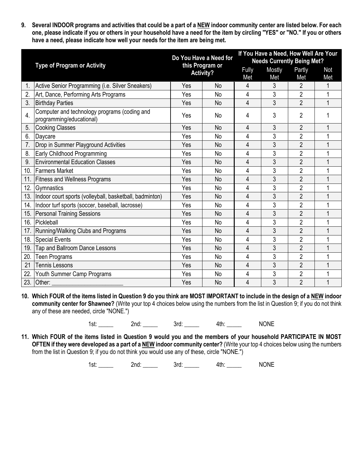**9. Several INDOOR programs and activities that could be a part of a NEW indoor community center are listed below. For each one, please indicate if you or others in your household have a need for the item by circling "YES" or "NO." If you or others have a need, please indicate how well your needs for the item are being met.**

|     |                                                                          |     | Do You Have a Need for<br>this Program or<br><b>Activity?</b> |   | If You Have a Need, How Well Are Your<br><b>Needs Currently Being Met?</b> |                |                |  |
|-----|--------------------------------------------------------------------------|-----|---------------------------------------------------------------|---|----------------------------------------------------------------------------|----------------|----------------|--|
|     | <b>Type of Program or Activity</b>                                       |     |                                                               |   | Mostly<br>Met                                                              | Partly<br>Met  | Not<br>Met     |  |
|     | Active Senior Programming (i.e. Silver Sneakers)                         | Yes | <b>No</b>                                                     | 4 | 3                                                                          | $\overline{2}$ | 1              |  |
| 2.  | Art, Dance, Performing Arts Programs                                     | Yes | <b>No</b>                                                     | 4 | 3                                                                          | $\overline{2}$ |                |  |
| 3.  | <b>Birthday Parties</b>                                                  | Yes | No                                                            | 4 | 3                                                                          | $\overline{2}$ | 1              |  |
| 4.  | Computer and technology programs (coding and<br>programming/educational) | Yes | <b>No</b>                                                     | 4 | 3                                                                          | $\overline{2}$ |                |  |
| 5.  | <b>Cooking Classes</b>                                                   | Yes | <b>No</b>                                                     | 4 | 3                                                                          | $\overline{2}$ |                |  |
| 6.  | Daycare                                                                  | Yes | No                                                            | 4 | 3                                                                          | $\overline{2}$ | 1              |  |
| 7.  | Drop in Summer Playground Activities                                     | Yes | <b>No</b>                                                     | 4 | 3                                                                          | $\overline{2}$ | 1              |  |
| 8.  | Early Childhood Programming                                              | Yes | <b>No</b>                                                     | 4 | 3                                                                          | $\overline{2}$ |                |  |
| 9.  | <b>Environmental Education Classes</b>                                   | Yes | No                                                            | 4 | 3                                                                          | $\overline{2}$ |                |  |
|     | 10. Farmers Market                                                       | Yes | <b>No</b>                                                     | 4 | 3                                                                          | $\overline{2}$ | 1              |  |
| 11. | <b>Fitness and Wellness Programs</b>                                     | Yes | <b>No</b>                                                     | 4 | 3                                                                          | $\overline{2}$ |                |  |
| 12. | Gymnastics                                                               | Yes | No                                                            | 4 | 3                                                                          | $\overline{2}$ | 1              |  |
| 13. | Indoor court sports (volleyball, basketball, badminton)                  | Yes | <b>No</b>                                                     | 4 | 3                                                                          | $\overline{2}$ |                |  |
| 14. | Indoor turf sports (soccer, baseball, lacrosse)                          | Yes | No                                                            | 4 | 3                                                                          | $\overline{2}$ |                |  |
| 15. | <b>Personal Training Sessions</b>                                        | Yes | <b>No</b>                                                     | 4 | 3                                                                          | $\overline{2}$ | 1              |  |
| 16. | Pickleball                                                               | Yes | <b>No</b>                                                     | 4 | 3                                                                          | $\overline{2}$ | 1              |  |
| 17. | Running/Walking Clubs and Programs                                       | Yes | No                                                            | 4 | 3                                                                          | $\overline{2}$ | 1              |  |
| 18. | <b>Special Events</b>                                                    | Yes | <b>No</b>                                                     | 4 | 3                                                                          | $\overline{2}$ | 1              |  |
| 19. | Tap and Ballroom Dance Lessons                                           | Yes | <b>No</b>                                                     | 4 | 3                                                                          | $\overline{2}$ | 1              |  |
| 20. | <b>Teen Programs</b>                                                     | Yes | <b>No</b>                                                     | 4 | 3                                                                          | $\overline{2}$ | 1              |  |
| 21  | <b>Tennis Lessons</b>                                                    | Yes | <b>No</b>                                                     | 4 | 3                                                                          | $\overline{2}$ | $\overline{1}$ |  |
| 22. | Youth Summer Camp Programs                                               | Yes | No                                                            | 4 | 3                                                                          | $\overline{c}$ | 1              |  |
| 23. | Other:                                                                   | Yes | <b>No</b>                                                     | 4 | 3                                                                          | $\overline{2}$ | 1              |  |

**10. Which FOUR of the items listed in Question 9 do you think are MOST IMPORTANT to include in the design of a NEW indoor community center for Shawnee?** (Write your top 4 choices below using the numbers from the list in Question 9; if you do not think any of these are needed, circle "NONE.")

1st: 2nd: 2nd: 3rd: 4th: NONE

**11. Which FOUR of the items listed in Question 9 would you and the members of your household PARTICIPATE IN MOST OFTEN if they were developed as a part of a NEW indoor community center?** (Write your top 4 choices below using the numbers from the list in Question 9; if you do not think you would use any of these, circle "NONE.")

1st: 2nd: 2nd: 3rd: 4th: NONE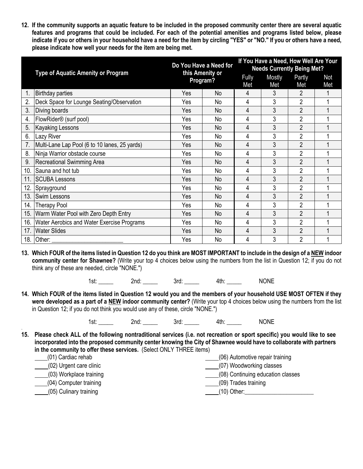**12. If the community supports an aquatic feature to be included in the proposed community center there are several aquatic features and programs that could be included. For each of the potential amenities and programs listed below, please indicate if you or others in your household have a need for the item by circling "YES" or "NO." If you or others have a need, please indicate how well your needs for the item are being met.**

|     |                                               |     | Do You Have a Need for      |   | If You Have a Need, How Well Are Your<br><b>Needs Currently Being Met?</b> |                |            |  |
|-----|-----------------------------------------------|-----|-----------------------------|---|----------------------------------------------------------------------------|----------------|------------|--|
|     | <b>Type of Aquatic Amenity or Program</b>     |     | this Amenity or<br>Program? |   | Mostly<br>Met                                                              | Partly<br>Met  | Not<br>Met |  |
|     | <b>Birthday parties</b>                       | Yes | <b>No</b>                   | 4 | 3                                                                          | $\overline{2}$ |            |  |
| 2.  | Deck Space for Lounge Seating/Observation     | Yes | No                          | 4 | 3                                                                          | $\overline{2}$ |            |  |
| 3.  | Diving boards                                 | Yes | No                          | 4 | 3                                                                          | $\overline{2}$ |            |  |
| 4.  | FlowRider <sup>®</sup> (surf pool)            | Yes | No                          | 4 | 3                                                                          | $\overline{2}$ |            |  |
| 5.  | <b>Kayaking Lessons</b>                       | Yes | <b>No</b>                   | 4 | 3                                                                          | $\overline{2}$ |            |  |
| 6.  | Lazy River                                    | Yes | No                          | 4 | 3                                                                          | $\overline{2}$ |            |  |
| 7.  | Multi-Lane Lap Pool (6 to 10 lanes, 25 yards) | Yes | No                          | 4 | 3                                                                          | $\overline{2}$ |            |  |
| 8.  | Ninja Warrior obstacle course                 | Yes | No                          | 4 | 3                                                                          | $\overline{2}$ |            |  |
| 9.  | <b>Recreational Swimming Area</b>             | Yes | No                          | 4 | 3                                                                          | $\overline{2}$ |            |  |
| 10. | Sauna and hot tub                             | Yes | No                          | 4 | 3                                                                          | $\overline{2}$ |            |  |
| 11. | <b>SCUBA Lessons</b>                          | Yes | No                          | 4 | 3                                                                          | $\overline{2}$ |            |  |
| 12. | Sprayground                                   | Yes | No                          | 4 | 3                                                                          | $\overline{2}$ |            |  |
| 13. | <b>Swim Lessons</b>                           | Yes | <b>No</b>                   | 4 | 3                                                                          | $\overline{2}$ |            |  |
| 14. | <b>Therapy Pool</b>                           | Yes | No                          | 4 | 3                                                                          | $\overline{2}$ |            |  |
| 15. | Warm Water Pool with Zero Depth Entry         | Yes | No                          | 4 | 3                                                                          | $\overline{2}$ |            |  |
| 16. | Water Aerobics and Water Exercise Programs    | Yes | No                          | 4 | 3                                                                          | $\overline{2}$ |            |  |
| 17. | <b>Water Slides</b>                           | Yes | <b>No</b>                   | 4 | 3                                                                          | $\overline{2}$ |            |  |
|     | 18. Other: $\_$                               | Yes | No                          | 4 | 3                                                                          | $\overline{2}$ |            |  |

**13. Which FOUR of the items listed in Question 12 do you think are MOST IMPORTANT to include in the design of a NEW indoor community center for Shawnee?** (Write your top 4 choices below using the numbers from the list in Question 12; if you do not think any of these are needed, circle "NONE.")

1st: \_\_\_\_\_ 2nd: \_\_\_\_ 3rd: 4th: 1st: NONE

**14. Which FOUR of the items listed in Question 12 would you and the members of your household USE MOST OFTEN if they were developed as a part of a NEW indoor community center?** (Write your top 4 choices below using the numbers from the list in Question 12; if you do not think you would use any of these, circle "NONE.")

1st: 2nd: 2nd: 3rd: 4th: NONE

- **15. Please check ALL of the following nontraditional services (i.e. not recreation or sport specific) you would like to see incorporated into the proposed community center knowing the City of Shawnee would have to collaborate with partners in the community to offer these services.** (Select ONLY THREE items)
	- (01) Cardiac rehab (02) Urgent care clinic (03) Workplace training (04) Computer training (05) Culinary training (06) Automotive repair training (07) Woodworking classes (08) Continuing education classes (09) Trades training  $(10)$  Other:

.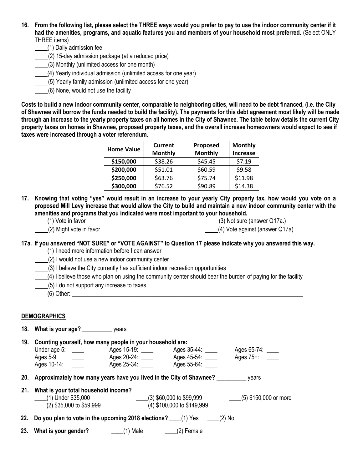- **16. From the following list, please select the THREE ways would you prefer to pay to use the indoor community center if it had the amenities, programs, and aquatic features you and members of your household most preferred.** (Select ONLY THREE items)
	- (1) Daily admission fee

.

- (2) 15-day admission package (at a reduced price)
- (3) Monthly (unlimited access for one month)
- (4) Yearly individual admission (unlimited access for one year)
- (5) Yearly family admission (unlimited access for one year)
- (6) None, would not use the facility

**Costs to build a new indoor community center, comparable to neighboring cities, will need to be debt financed, (i.e. the City of Shawnee will borrow the funds needed to build the facility). The payments for this debt agreement most likely will be made through an increase to the yearly property taxes on all homes in the City of Shawnee. The table below details the current City property taxes on homes in Shawnee, proposed property taxes, and the overall increase homeowners would expect to see if taxes were increased through a voter referendum.** 

| <b>Home Value</b> | <b>Current</b> | Proposed       | <b>Monthly</b>  |  |  |
|-------------------|----------------|----------------|-----------------|--|--|
|                   | <b>Monthly</b> | <b>Monthly</b> | <b>Increase</b> |  |  |
| \$150,000         | \$38.26        | \$45.45        | \$7.19          |  |  |
| \$200,000         | \$51.01        | \$60.59        | \$9.58          |  |  |
| \$250,000         | \$63.76        | \$75.74        | \$11.98         |  |  |
| \$300,000         | \$76.52        | \$90.89        | \$14.38         |  |  |

- **17. Knowing that voting "yes" would result in an increase to your yearly City property tax, how would you vote on a proposed Mill Levy increase that would allow the City to build and maintain a new indoor community center with the amenities and programs that you indicated were most important to your household.** 
	- (1) Vote in favor

(3) Not sure (answer Q17a.)

(2) Might vote in favor

(4) Vote against (answer Q17a)

## **17a. If you answered "NOT SURE" or "VOTE AGAINST" to Question 17 please indicate why you answered this way.**

- (1) I need more information before I can answer
- (2) I would not use a new indoor community center
- (3) I believe the City currently has sufficient indoor recreation opportunities
- $(4)$  I believe those who plan on using the community center should bear the burden of paying for the facility
- (5) I do not support any increase to taxes
- $(6)$  Other:

## **DEMOGRAPHICS**

**18. What is your age?** \_\_\_\_\_\_\_\_\_\_ years **19. Counting yourself, how many people in your household are:** Under age 5: \_\_\_\_\_ Ages 15-19: \_\_\_\_ Ages 35-44: \_\_\_\_ Ages 65-74: \_\_\_\_ Ages 5-9: \_\_\_\_ Ages 20-24: \_\_\_\_ Ages 45-54: \_\_\_\_ Ages 75+: \_\_\_\_ Ages 10-14: \_\_\_\_ Ages 25-34: \_\_\_\_ Ages 55-64: \_\_\_\_ **20. Approximately how many years have you lived in the City of Shawnee?** \_\_\_\_\_\_\_\_\_\_ years **21. What is your total household income?** \_\_\_\_(1) Under \$35,000 \_\_\_\_(2) \$35,000 to \$59,999 \_\_\_\_(3) \$60,000 to \$99,999 \_\_\_\_(4) \$100,000 to \$149,999 \_\_\_\_(5) \$150,000 or more **22. Do you plan to vote in the upcoming 2018 elections?** \_\_\_\_(1) Yes \_\_\_\_(2) No **23. What is your gender?** \_\_\_\_\_(1) Male \_\_\_\_\_\_(2) Female